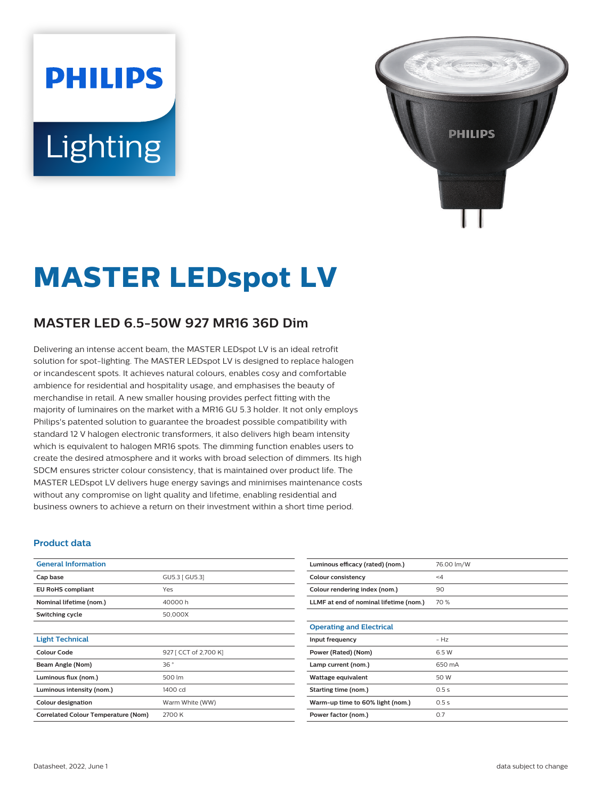# **PHILIPS** Lighting



## **MASTER LEDspot LV**

### **MASTER LED 6.5-50W 927 MR16 36D Dim**

Delivering an intense accent beam, the MASTER LEDspot LV is an ideal retrofit solution for spot-lighting. The MASTER LEDspot LV is designed to replace halogen or incandescent spots. It achieves natural colours, enables cosy and comfortable ambience for residential and hospitality usage, and emphasises the beauty of merchandise in retail. A new smaller housing provides perfect fitting with the majority of luminaires on the market with a MR16 GU 5.3 holder. It not only employs Philips's patented solution to guarantee the broadest possible compatibility with standard 12 V halogen electronic transformers, it also delivers high beam intensity which is equivalent to halogen MR16 spots. The dimming function enables users to create the desired atmosphere and it works with broad selection of dimmers. Its high SDCM ensures stricter colour consistency, that is maintained over product life. The MASTER LEDspot LV delivers huge energy savings and minimises maintenance costs without any compromise on light quality and lifetime, enabling residential and business owners to achieve a return on their investment within a short time period.

#### **Product data**

| <b>General Information</b>                 |                              |  |
|--------------------------------------------|------------------------------|--|
| Cap base                                   | GU5.3 [ GU5.3]               |  |
| <b>EU RoHS compliant</b>                   | Yes                          |  |
| Nominal lifetime (nom.)                    | 40000h                       |  |
| Switching cycle                            | 50,000X                      |  |
|                                            |                              |  |
| <b>Light Technical</b>                     |                              |  |
| Colour Code                                | 927 [ CCT of 2,700 K]<br>36° |  |
| Beam Angle (Nom)                           |                              |  |
| Luminous flux (nom.)                       | 500 lm                       |  |
| Luminous intensity (nom.)                  | 1400 cd                      |  |
| <b>Colour designation</b>                  | Warm White (WW)              |  |
| <b>Correlated Colour Temperature (Nom)</b> | 2700 K                       |  |

| Luminous efficacy (rated) (nom.)       | 76.00 lm/W |
|----------------------------------------|------------|
| Colour consistency                     | $\leq 4$   |
| Colour rendering index (nom.)          | 90         |
| LLMF at end of nominal lifetime (nom.) | 70%        |
|                                        |            |
| <b>Operating and Electrical</b>        |            |
| Input frequency                        | $-Hz$      |
| Power (Rated) (Nom)                    | 6.5 W      |
| Lamp current (nom.)                    | 650 mA     |
| Wattage equivalent                     | 50 W       |
| Starting time (nom.)                   | 0.5s       |
| Warm-up time to 60% light (nom.)       | 0.5s       |
| Power factor (nom.)                    | 0.7        |
|                                        |            |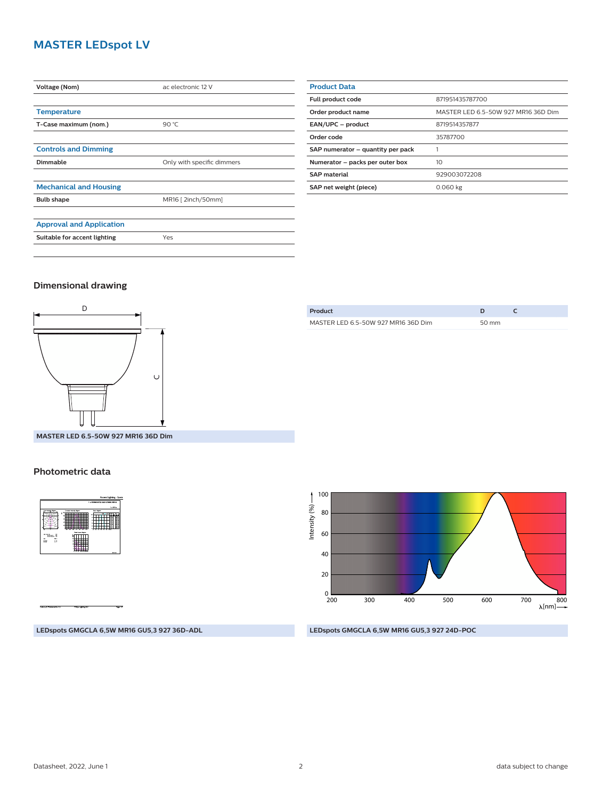#### **MASTER LEDspot LV**

| Voltage (Nom)                   | ac electronic 12 V         |  |
|---------------------------------|----------------------------|--|
|                                 |                            |  |
| <b>Temperature</b>              |                            |  |
| T-Case maximum (nom.)           | 90 °C                      |  |
|                                 |                            |  |
| <b>Controls and Dimming</b>     |                            |  |
| Dimmable                        | Only with specific dimmers |  |
|                                 |                            |  |
| <b>Mechanical and Housing</b>   |                            |  |
| <b>Bulb shape</b>               | MR16 [2inch/50mm]          |  |
|                                 |                            |  |
| <b>Approval and Application</b> |                            |  |
| Suitable for accent lighting    | Yes                        |  |
|                                 |                            |  |

| <b>Product Data</b>               |                                     |  |
|-----------------------------------|-------------------------------------|--|
| <b>Full product code</b>          | 871951435787700                     |  |
| Order product name                | MASTER LED 6.5-50W 927 MR16 36D Dim |  |
| EAN/UPC - product                 | 8719514357877                       |  |
| Order code                        | 35787700                            |  |
| SAP numerator - quantity per pack |                                     |  |
| Numerator - packs per outer box   | 10                                  |  |
| <b>SAP material</b>               | 929003072208                        |  |
| SAP net weight (piece)            | 0.060 kg                            |  |

#### **Dimensional drawing**



| Product                             |       |  |
|-------------------------------------|-------|--|
| MASTER LED 6.5-50W 927 MR16 36D Dim | 50 mm |  |
|                                     |       |  |

**MASTER LED 6.5-50W 927 MR16 36D Dim**

#### **Photometric data**



100 Intensity  $(% ) \longrightarrow$ Intensity (%) 80 60 40 20  $_{200}^{0}$ 700 800 200 300 400 500 600  $\lambda$ [nm]-

**LEDspots GMGCLA 6,5W MR16 GU5,3 927 36D-ADL**

#### **LEDspots GMGCLA 6,5W MR16 GU5,3 927 24D-POC**